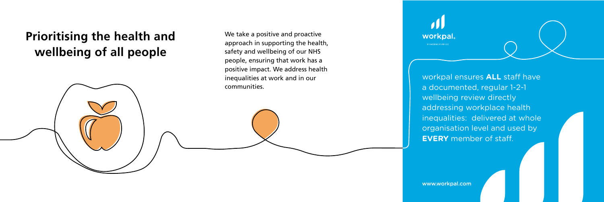## **Prioritising the health and wellbeing of all people**



We take a positive and proactive approach in supporting the health, safety and wellbeing of our NHS people, ensuring that work has a positive impact. We address health inequalities at work and in our communities.



POWERING PURPOSE

workpal ensures ALL staff have a documented, regular 1-2-1 wellbeing review directly addressing workplace health inequalities: delivered at whole organisation level and used by **EVERY** member of staff.

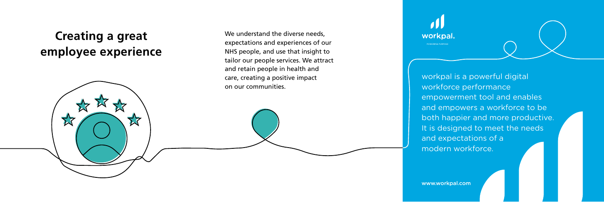### **Creating a great employee experience**



We understand the diverse needs, expectations and experiences of our NHS people, and use that insight to tailor our people services. We attract and retain people in health and care, creating a positive impact on our communities.



workpal is a powerful digital workforce performance empowerment tool and enables and empowers a workforce to be both happier and more productive. It is designed to meet the needs and expectations of a modern workforce.

www.workpal.com

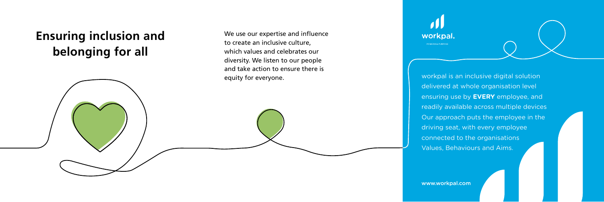# **Ensuring inclusion and belonging for all**



We use our expertise and influence to create an inclusive culture, which values and celebrates our diversity. We listen to our people and take action to ensure there is



equity for everyone. The summary contract the sequity for everyone. delivered at whole organisation level ensuring use by **EVERY** employee, and readily available across multiple devices Our approach puts the employee in the driving seat, with every employee connected to the organisations Values, Behaviours and Aims.

www.workpal.com

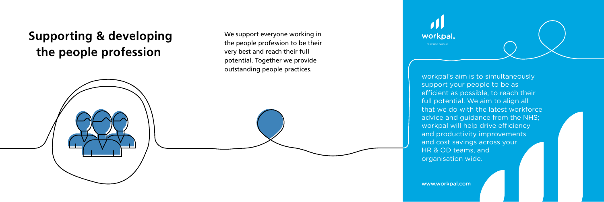# **Supporting & developing the people profession**



We support everyone working in the people profession to be their very best and reach their full potential. Together we provide outstanding people practices.



POWERING PURPOSE

workpal's aim is to simultaneously support your people to be as efficient as possible, to reach their full potential. We aim to align all that we do with the latest workforce advice and guidance from the NHS; workpal will help drive efficiency and productivity improvements and cost savings across your HR & OD teams, and organisation wide.

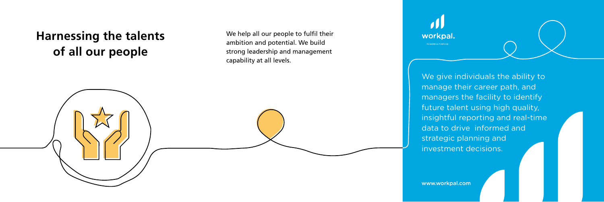# **Harnessing the talents of all our people**



We help all our people to fulfil their ambition and potential. We build strong leadership and management capability at all levels.



We give individuals the ability to manage their career path, and managers the facility to identify future talent using high quality, insightful reporting and real-time data to drive informed and strategic planning and investment decisions.

www.workpal.com www.workpal.com

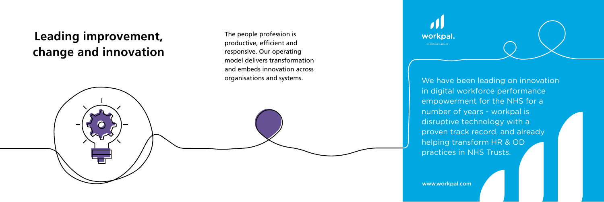### **Leading improvement, change and innovation**



The people profession is productive, efficient and responsive. Our operating model delivers transformation and embeds innovation across



POWERING PURPOSE

organisations and systems.<br>
Me have been leading on innovation in digital workforce performance empowerment for the NHS for a number of years - workpal is disruptive technology with a proven track record, and already helping transform HR & OD practices in NHS Trusts.

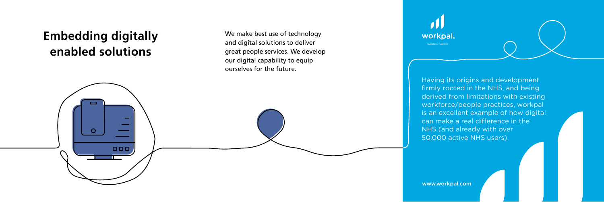# **Embedding digitally enabled solutions**



We make best use of technology and digital solutions to deliver great people services. We develop our digital capability to equip ourselves for the future.



Having its origins and development firmly rooted in the NHS, and being derived from limitations with existing workforce/people practices, workpal is an excellent example of how digital can make a real difference in the NHS (and already with over 50,000 active NHS users).